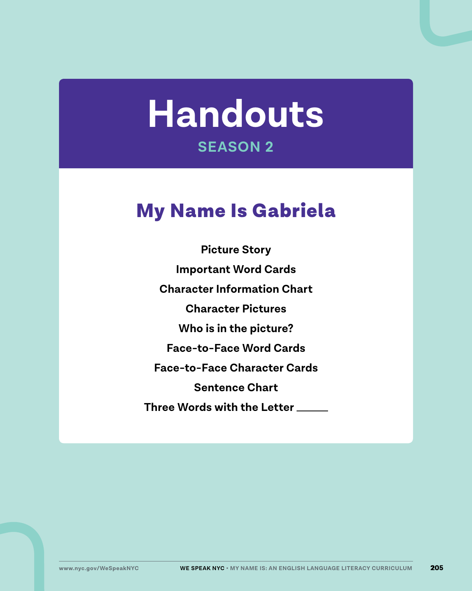# **Handouts SEASON 2**

## My Name Is Gabriela

**Picture Story Important Word Cards Character Information Chart Character Pictures Who is in the picture? Face-to-Face Word Cards Face-to-Face Character Cards Sentence Chart Three Words with the Letter**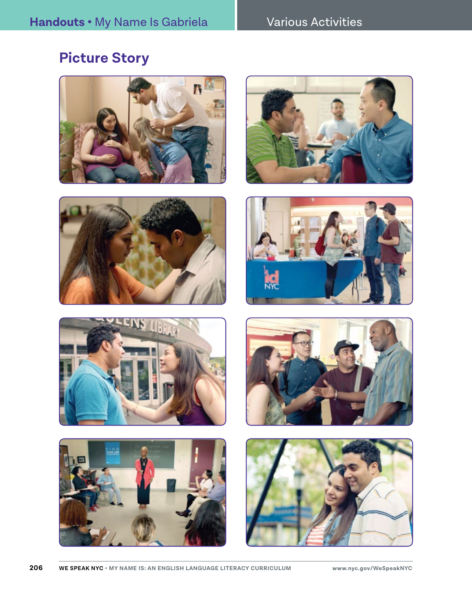### **Picture Story**















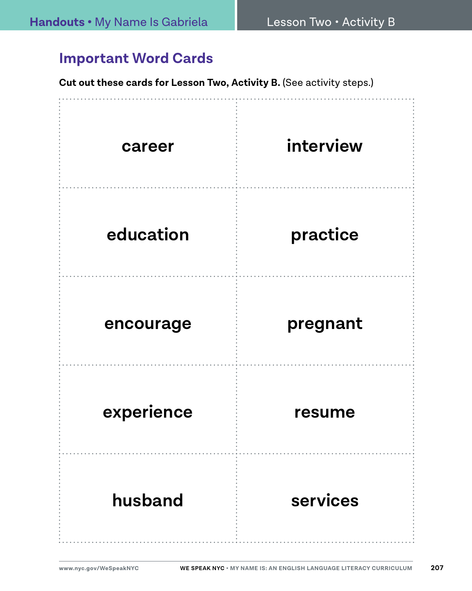#### **Important Word Cards**

**Cut out these cards for Lesson Two, Activity B. (See activity steps.)** 

| career     | interview |
|------------|-----------|
| education  | practice  |
| encourage  | pregnant  |
| experience | resume    |
| husband    | services  |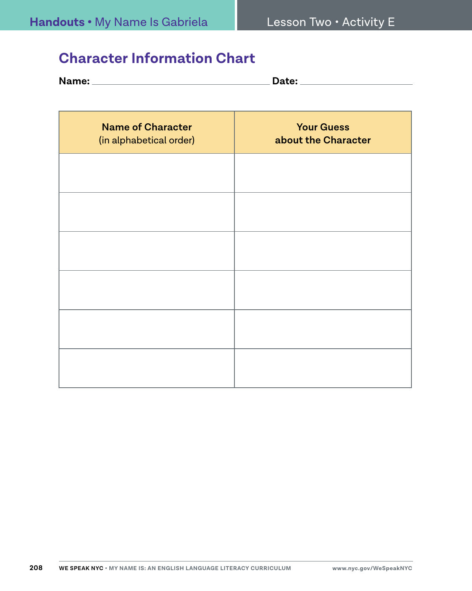#### **Character Information Chart**

| <b>Name:</b> | ata.<br>zale: |
|--------------|---------------|
|              |               |

| <b>Name of Character</b><br>(in alphabetical order) | <b>Your Guess</b><br>about the Character |
|-----------------------------------------------------|------------------------------------------|
|                                                     |                                          |
|                                                     |                                          |
|                                                     |                                          |
|                                                     |                                          |
|                                                     |                                          |
|                                                     |                                          |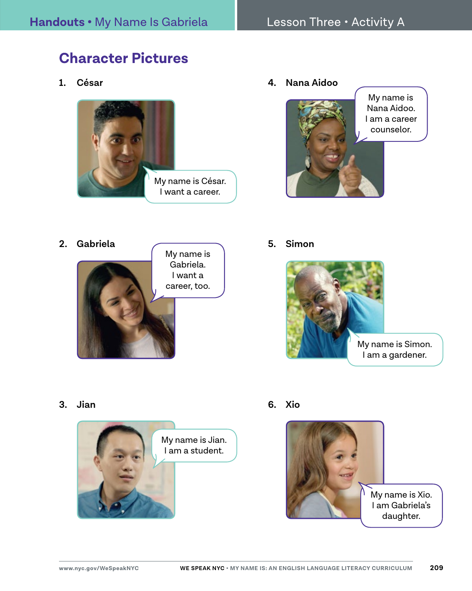## **Character Pictures**

**1. César**



**4. Nana Aidoo**



- **2. Gabriela** My name is Gabriela. I want a career, too.
- **5. Simon**



**3. Jian**



**6. Xio**

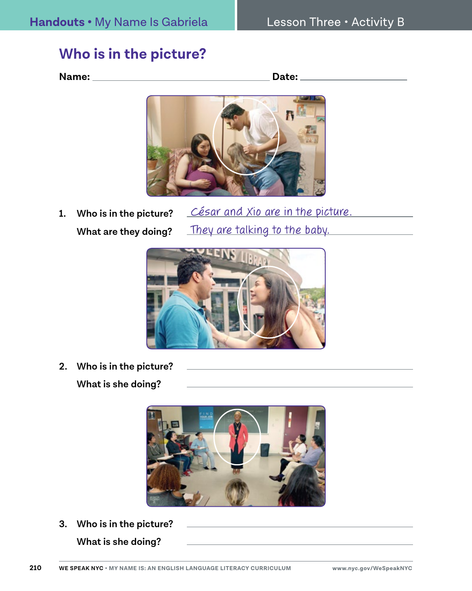#### **Who is in the picture?**

**Name: Date:** 



**1. Who is in the picture? What are they doing?**

César and Xio are in the picture. They are talking to the baby.



**2. Who is in the picture?** 

**What is she doing?**



**3. Who is in the picture?** 

**What is she doing?**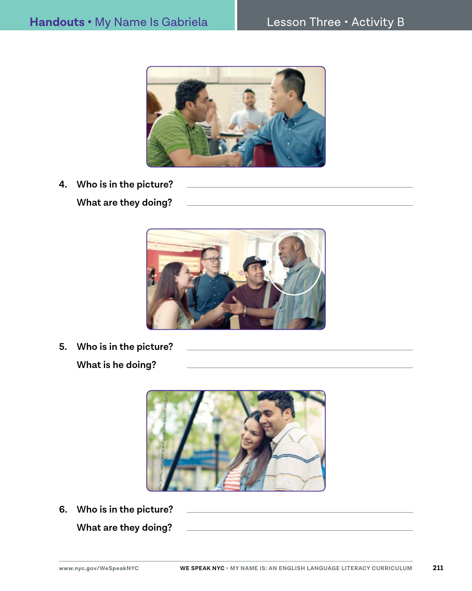

- **4. Who is in the picture?** 
	- **What are they doing?**



**5. Who is in the picture? What is he doing?**



**6. Who is in the picture? What are they doing?**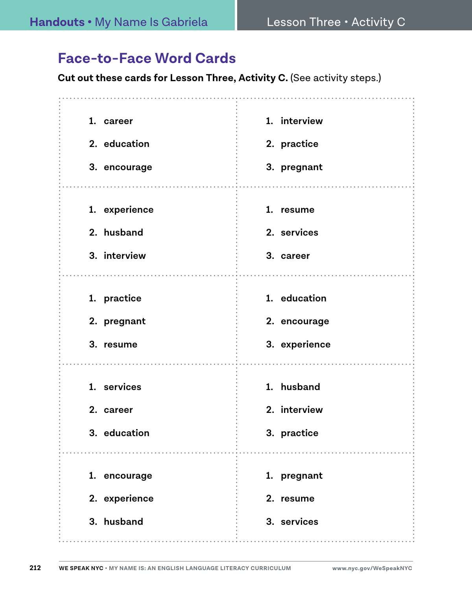#### **Face-to-Face Word Cards**

**Cut out these cards for Lesson Three, Activity C.** (See activity steps.)

| 1. career<br>2. education<br>3. encourage   | 1. interview<br>2. practice<br>3. pregnant    |
|---------------------------------------------|-----------------------------------------------|
| 1. experience<br>2. husband<br>3. interview | 1. resume<br>2. services<br>3. career         |
| 1. practice<br>2. pregnant<br>3. resume     | 1. education<br>2. encourage<br>3. experience |
| 1. services<br>2. career<br>3. education    | 1. husband<br>2. interview<br>3. practice     |
| 1. encourage<br>2. experience<br>3. husband | 1. pregnant<br>2. resume<br>3. services       |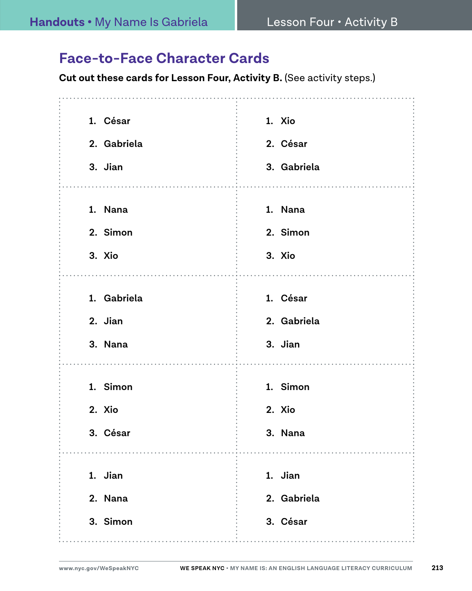#### **Face-to-Face Character Cards**

**Cut out these cards for Lesson Four, Activity B. (See activity steps.)** 

| 1. César    | 1. Xio      |
|-------------|-------------|
| 2. Gabriela | 2. César    |
| 3. Jian     | 3. Gabriela |
|             |             |
| 1. Nana     | 1. Nana     |
| 2. Simon    | 2. Simon    |
| 3. Xio      | 3. Xio      |
|             |             |
| 1. Gabriela | 1. César    |
| 2. Jian     | 2. Gabriela |
| 3. Nana     | 3. Jian     |
|             |             |
| 1. Simon    | 1. Simon    |
| 2. Xio      | 2. Xio      |
| 3. César    | 3. Nana     |
|             |             |
| 1. Jian     | 1. Jian     |
| 2. Nana     | 2. Gabriela |
| 3. Simon    | 3. César    |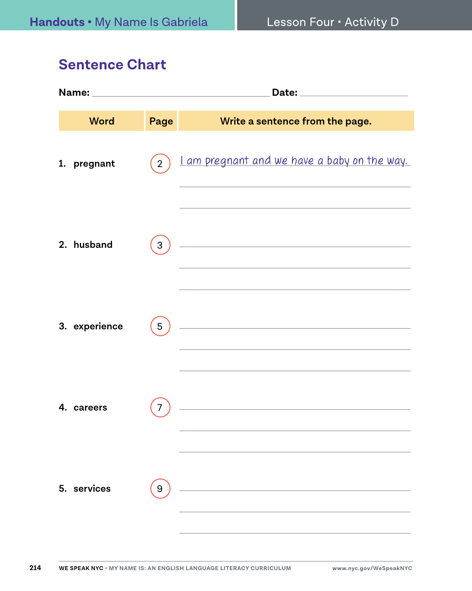#### **Sentence Chart**

|  | <b>Word</b>   | Page           | Write a sentence from the page.                                                                                                                   |  |
|--|---------------|----------------|---------------------------------------------------------------------------------------------------------------------------------------------------|--|
|  | 1. pregnant   | $\overline{2}$ | I am pregnant and we have a baby on the way.                                                                                                      |  |
|  | 2. husband    | 3              | <u> 1980 - Johann Barbara, martxa alemaniar arg</u>                                                                                               |  |
|  | 3. experience | 5              | <u> 2002 - Johann Stoff, Amerikaansk politiker (</u><br>the control of the control of the control of the control of the control of the control of |  |
|  | 4. careers    | 7              | <u> 1980 - Johann Barbara, martxa alemaniar a</u>                                                                                                 |  |
|  | 5. services   | 9              |                                                                                                                                                   |  |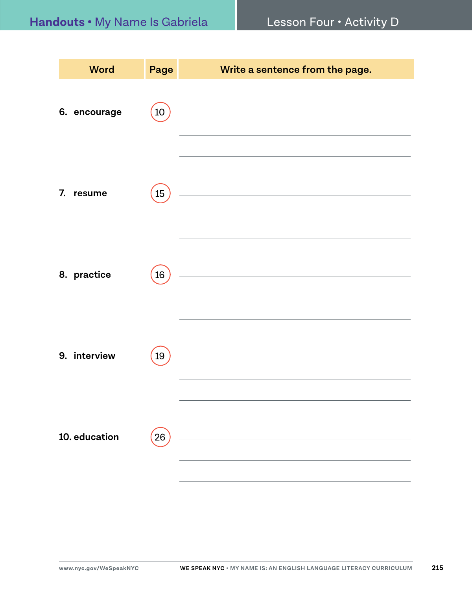| <b>Word</b>   | Page | Write a sentence from the page.                                                                                       |
|---------------|------|-----------------------------------------------------------------------------------------------------------------------|
| 6. encourage  | 10   | <u> 1989 - Johann Barn, mars eta bainar eta baina eta baina eta baina eta baina eta baina eta baina eta baina e</u>   |
| 7. resume     | 15   | <u> 1989 - Johann Stein, mars and de Branch and de Branch and de Branch and de Branch and de Branch and de Branch</u> |
| 8. practice   | 16   | <u> 1989 - Johann Barbara, martxa alemaniar a</u>                                                                     |
| 9. interview  | 19   | <u> 1980 - Jan Stein Stein Stein Stein Stein Stein Stein Stein Stein Stein Stein Stein Stein Stein Stein Stein S</u>  |
| 10. education | 26   | <u> 1980 - Jan Stein Stein Stein Stein Stein Stein Stein Stein Stein Stein Stein Stein Stein Stein Stein Stein S</u>  |